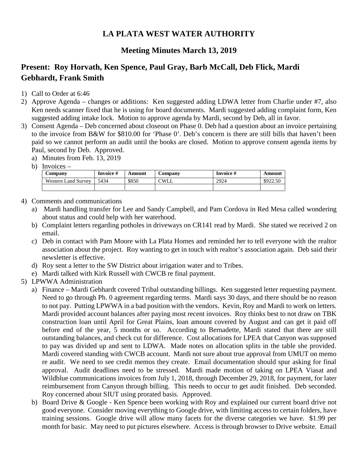## **LA PLATA WEST WATER AUTHORITY**

## **Meeting Minutes March 13, 2019**

## **Present: Roy Horvath, Ken Spence, Paul Gray, Barb McCall, Deb Flick, Mardi Gebhardt, Frank Smith**

- 1) Call to Order at 6:46
- 2) Approve Agenda changes or additions: Ken suggested adding LDWA letter from Charlie under #7, also Ken needs scanner fixed that he is using for board documents. Mardi suggested adding complaint form, Ken suggested adding intake lock. Motion to approve agenda by Mardi, second by Deb, all in favor.
- 3) Consent Agenda Deb concerned about closeout on Phase 0. Deb had a question about an invoice pertaining to the invoice from B&W for \$810.00 for 'Phase 0'. Deb's concern is there are still bills that haven't been paid so we cannot perform an audit until the books are closed. Motion to approve consent agenda items by Paul, second by Deb. Approved.
	- a) Minutes from Feb. 13, 2019
	- b) Invoices –

| Company                    | Invoice # | Amount | Company     | Invoice # | Amount   |
|----------------------------|-----------|--------|-------------|-----------|----------|
| <b>Western Land Survey</b> | 5434      | \$850  | <b>CWLL</b> | 2924      | \$922.50 |
|                            |           |        |             |           |          |

- 4) Comments and communications
	- a) Mardi handling transfer for Lee and Sandy Campbell, and Pam Cordova in Red Mesa called wondering about status and could help with her waterhood.
	- b) Complaint letters regarding potholes in driveways on CR141 read by Mardi. She stated we received 2 on email.
	- c) Deb in contact with Pam Moore with La Plata Homes and reminded her to tell everyone with the realtor association about the project. Roy wanting to get in touch with realtor's association again. Deb said their newsletter is effective.
	- d) Roy sent a letter to the SW District about irrigation water and to Tribes.
	- e) Mardi talked with Kirk Russell with CWCB re final payment.
- 5) LPWWA Administration
	- a) Finance Mardi Gebhardt covered Tribal outstanding billings. Ken suggested letter requesting payment. Need to go through Ph. 0 agreement regarding terms. Mardi says 30 days, and there should be no reason to not pay. Putting LPWWA in a bad position with the vendors. Kevin, Roy and Mardi to work on letters. Mardi provided account balances after paying most recent invoices. Roy thinks best to not draw on TBK construction loan until April for Great Plains, loan amount covered by August and can get it paid off before end of the year, 5 months or so. According to Bernadette, Mardi stated that there are still outstanding balances, and check cut for difference. Cost allocations for LPEA that Canyon was supposed to pay was divided up and sent to LDWA. Made notes on allocation splits in the table she provided. Mardi covered standing with CWCB account. Mardi not sure about true approval from UMUT on memo re audit. We need to see credit memos they create. Email documentation should spur asking for final approval. Audit deadlines need to be stressed. Mardi made motion of taking on LPEA Viasat and Wildblue communications invoices from July 1, 2018, through December 29, 2018, for payment, for later reimbursement from Canyon through billing. This needs to occur to get audit finished. Deb seconded. Roy concerned about SIUT using prorated basis. Approved.
	- b) Board Drive & Google Ken Spence been working with Roy and explained our current board drive not good everyone. Consider moving everything to Google drive, with limiting access to certain folders, have training sessions. Google drive will allow many facets for the diverse categories we have. \$1.99 per month for basic. May need to put pictures elsewhere. Access is through browser to Drive website. Email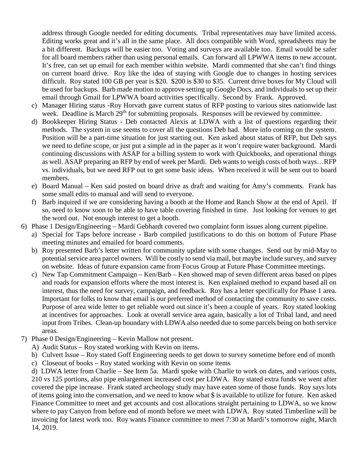address through Google needed for editing documents. Tribal representatives may have limited access. Editing works great and it's all in the same place. All docs compatible with Word, spreadsheets may be a bit different. Backups will be easier too. Voting and surveys are available too. Email would be safer for all board members rather than using personal emails. Can forward all LPWWA items to new account. It's free, can set up email for each member within website. Mardi commented that she can't find things on current board drive. Roy like the idea of staying with Google due to changes in hosting services difficult. Roy stated 100 GB per year is \$20. \$200 is \$30 to \$35. Current drive boxes for My Cloud will be used for backups. Barb made motion to approve setting up Google Docs, and individuals to set up their email through Gmail for LPWWA board activities specifically. Second by Frank. Approved.

- c) Manager Hiring status -Roy Horvath gave current status of RFP posting to various sites nationwide last week. Deadline is March 29<sup>th</sup> for submitting proposals. Responses will be reviewed by committee.
- d) Bookkeeper Hiring Status Deb contacted Alexis at LDWA with a list of questions regarding their methods. The system in use seems to cover all the questions Deb had. More info coming on the system. Position will be a part-time situation for just starting out. Ken asked about status of RFP, but Deb says we need to define scope, or just put a simple ad in the paper as it won't require water background. Mardi continuing discussions with ASAP for a billing system to work with Quickbooks, and operational things as well. ASAP preparing an RFP by end of week per Mardi. Deb wants to weigh costs of both ways…RFP vs. individuals, but we need RFP out to get some basic ideas. When received it will be sent out to board members.
- e) Board Manual Ken said posted on board drive as draft and waiting for Amy's comments. Frank has some small edits to manual and will send to everyone.
- f) Barb inquired if we are considering having a booth at the Home and Ranch Show at the end of April. If so, need to know soon to be able to have table covering finished in time. Just looking for venues to get the word out. Not enough interest to get a booth.
- 6) Phase 1 Design/Engineering Mardi Gebhardt covered two complaint form issues along current pipeline.
	- a) Special for Taps before increase Barb compiled justifications to do this on bottom of Future Phase meeting minutes and emailed for board comments.
	- b) Roy presented Barb's letter written for community update with some changes. Send out by mid-May to potential service area parcel owners. Will be costly to send via mail, but maybe include survey, and survey on website. Ideas of future expansion came from Focus Group at Future Phase Committee meetings.
	- c) New Tap Commitment Campaign Ken/Barb Ken showed map of seven different areas based on pipes and roads for expansion efforts where the most interest is. Ken explained method to expand based all on interest, thus the need for survey, campaign, and feedback. Roy has a letter specifically for Phase 1 area. Important for folks to know that email is our preferred method of contacting the community to save costs. Purpose of area wide letter to get reliable word out since it's been a couple of years. Roy stated looking at incentives for approaches. Look at overall service area again, basically a lot of Tribal land, and need input from Tribes. Clean-up boundary with LDWA also needed due to some parcels being on both service areas.
- 7) Phase 0 Design/Engineering Kevin Mallow not present.
	- A) Audit Status Roy stated working with Kevin on items.
	- b) Culvert Issue Roy stated Goff Engineering needs to get down to survey sometime before end of month
	- c) Closeout of books Roy stated working with Kevin on some items

d) LDWA letter from Charlie – See Item 5a. Mardi spoke with Charlie to work on dates, and various costs, 210 vs 125 portions, also pipe enlargement increased cost per LDWA. Roy stated extra funds we went after covered the pipe increase. Frank stated archeology study may have eaten some of those funds. Roy says lots of items going into the conversation, and we need to know what \$ is available to utilize for future. Ken asked Finance Committee to meet and get accounts and cost allocations straight pertaining to LDWA, so we know where to pay Canyon from before end of month before we meet with LDWA. Roy stated Timberline will be invoicing for latest work too. Roy wants Finance committee to meet 7:30 at Mardi's tomorrow night, March 14, 2019.